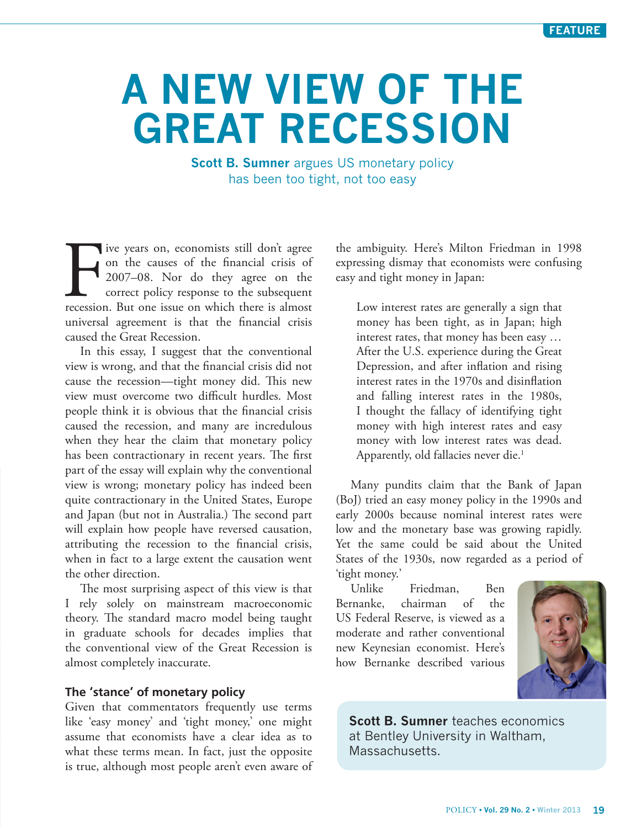# **A NEW VIEW OF THE GREAT RECESSION**

**Scott B. Sumner** argues US monetary policy has been too tight, not too easy

I've years on, economists still don't agree<br>on the causes of the financial crisis of<br>2007–08. Nor do they agree on the<br>correct policy response to the subsequent<br>recession. But one issue on which there is almost ive years on, economists still don't agree on the causes of the financial crisis of 2007–08. Nor do they agree on the correct policy response to the subsequent universal agreement is that the financial crisis caused the Great Recession.

In this essay, I suggest that the conventional view is wrong, and that the financial crisis did not cause the recession—tight money did. This new view must overcome two difficult hurdles. Most people think it is obvious that the financial crisis caused the recession, and many are incredulous when they hear the claim that monetary policy has been contractionary in recent years. The first part of the essay will explain why the conventional view is wrong; monetary policy has indeed been quite contractionary in the United States, Europe and Japan (but not in Australia.) The second part will explain how people have reversed causation, attributing the recession to the financial crisis, when in fact to a large extent the causation went the other direction.

The most surprising aspect of this view is that I rely solely on mainstream macroeconomic theory. The standard macro model being taught in graduate schools for decades implies that the conventional view of the Great Recession is almost completely inaccurate.

## **The 'stance' of monetary policy**

Given that commentators frequently use terms like 'easy money' and 'tight money,' one might assume that economists have a clear idea as to what these terms mean. In fact, just the opposite is true, although most people aren't even aware of

the ambiguity. Here's [Milton Friedman](http://www.hoover.org/publications/hoover-digest/article/6549) in 1998 expressing dismay that economists were confusing easy and tight money in Japan:

Low interest rates are generally a sign that money has been tight, as in Japan; high interest rates, that money has been easy … After the U.S. experience during the Great Depression, and after inflation and rising interest rates in the 1970s and disinflation and falling interest rates in the 1980s, I thought the fallacy of identifying tight money with high interest rates and easy money with low interest rates was dead. Apparently, old fallacies never die.<sup>1</sup>

Many pundits claim that the Bank of Japan (BoJ) tried an easy money policy in the 1990s and early 2000s because nominal interest rates were low and the monetary base was growing rapidly. Yet the same could be said about the United States of the 1930s, now regarded as a period of 'tight money.'

Unlike Friedman, Ben Bernanke, chairman of the US Federal Reserve, is viewed as a moderate and rather conventional new Keynesian economist. Here's how Bernanke described various



**Scott B. Sumner** teaches economics at Bentley University in Waltham, Massachusetts.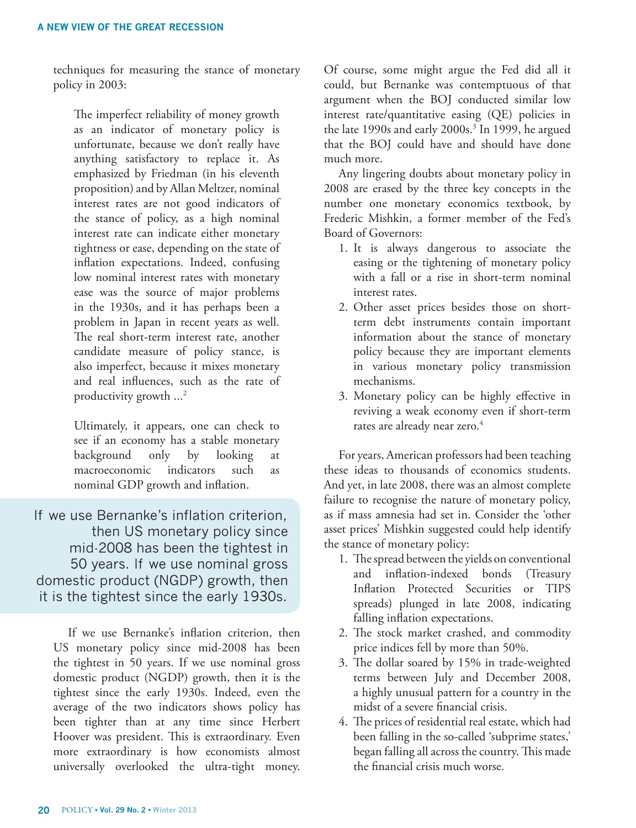techniques for measuring the stance of monetary policy in 2003:

The imperfect reliability of money growth as an indicator of monetary policy is unfortunate, because we don't really have anything satisfactory to replace it. As emphasized by Friedman (in his eleventh proposition) and by Allan Meltzer, nominal interest rates are not good indicators of the stance of policy, as a high nominal interest rate can indicate either monetary tightness or ease, depending on the state of inflation expectations. Indeed, confusing low nominal interest rates with monetary ease was the source of major problems in the 1930s, and it has perhaps been a problem in Japan in recent years as well. The real short-term interest rate, another candidate measure of policy stance, is also imperfect, because it mixes monetary and real influences, such as the rate of productivity growth  $\ldots^2$ 

Ultimately, it appears, one can check to see if an economy has a stable monetary background only by looking at macroeconomic indicators such as nominal GDP growth and inflation.

If we use Bernanke's inflation criterion, then US monetary policy since mid-2008 has been the tightest in 50 years. If we use nominal gross domestic product (NGDP) growth, then it is the tightest since the early 1930s.

If we use Bernanke's inflation criterion, then US monetary policy since mid-2008 has been the tightest in 50 years. If we use nominal gross domestic product (NGDP) growth, then it is the tightest since the early 1930s. Indeed, even the average of the two indicators shows policy has been tighter than at any time since Herbert Hoover was president. This is extraordinary. Even more extraordinary is how economists almost universally overlooked the ultra-tight money.

Of course, some might argue the Fed did all it could, but [Bernanke](http://people.su.se/~leosven/und/522/Readings/Bernanke.pdf) was contemptuous of that argument when the BOJ conducted similar low interest rate/quantitative easing (QE) policies in the late 1990s and early 2000s.<sup>3</sup> In 1999, he argued that the BOJ could have and should have done much more.

Any lingering doubts about monetary policy in 2008 are erased by the three key concepts in the number one monetary economics textbook, by Frederic Mishkin, a former member of the Fed's Board of Governors:

- 1. It is always dangerous to associate the easing or the tightening of monetary policy with a fall or a rise in short-term nominal interest rates.
- 2. Other asset prices besides those on shortterm debt instruments contain important information about the stance of monetary policy because they are important elements in various monetary policy transmission mechanisms.
- 3. Monetary policy can be highly effective in reviving a weak economy even if short-term rates are already near zero.<sup>4</sup>

For years, American professors had been teaching these ideas to thousands of economics students. And yet, in late 2008, there was an almost complete failure to recognise the nature of monetary policy, as if mass amnesia had set in. Consider the 'other asset prices' Mishkin suggested could help identify the stance of monetary policy:

- 1. The spread between the yields on conventional and inflation-indexed bonds (Treasury Inflation Protected Securities or TIPS spreads) plunged in late 2008, indicating falling inflation expectations.
- 2. The stock market crashed, and commodity price indices fell by more than 50%.
- 3. The dollar soared by 15% in trade-weighted terms between July and December 2008, a highly unusual pattern for a country in the midst of a severe financial crisis.
- 4. The prices of residential real estate, which had been falling in the so-called 'subprime states,' began falling all across the country. This made the financial crisis much worse.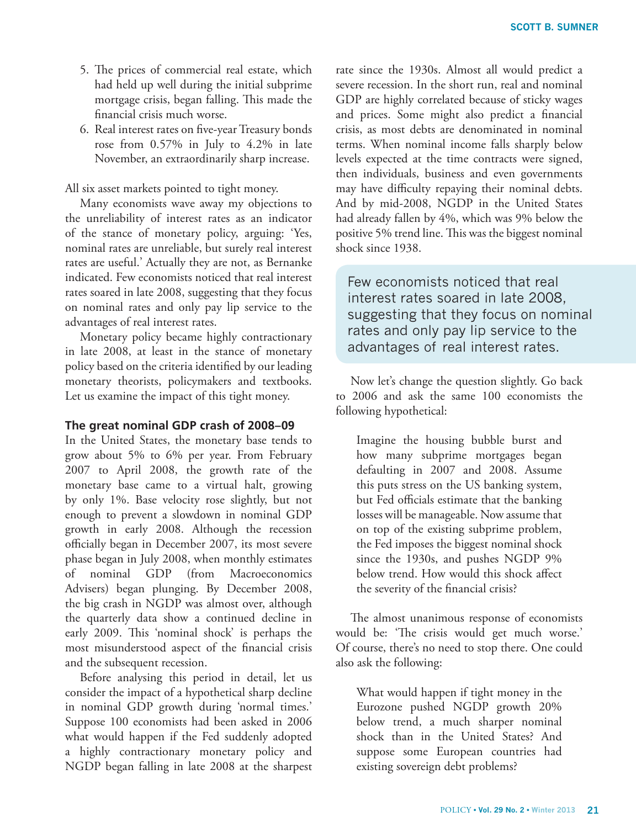- 5. The prices of commercial real estate, which had held up well during the initial subprime mortgage crisis, began falling. This made the financial crisis much worse.
- 6. Real interest rates on five-year Treasury bonds rose from 0.57% in July to 4.2% in late November, an extraordinarily sharp increase.

All six asset markets pointed to tight money.

Many economists wave away my objections to the unreliability of interest rates as an indicator of the stance of monetary policy, arguing: 'Yes, nominal rates are unreliable, but surely real interest rates are useful.' Actually they are not, as Bernanke indicated. Few economists noticed that real interest rates soared in late 2008, suggesting that they focus on nominal rates and only pay lip service to the advantages of real interest rates.

Monetary policy became highly contractionary in late 2008, at least in the stance of monetary policy based on the criteria identified by our leading monetary theorists, policymakers and textbooks. Let us examine the impact of this tight money.

### **The great nominal GDP crash of 2008–09**

In the United States, the monetary base tends to grow about 5% to 6% per year. From February 2007 to April 2008, the growth rate of the monetary base came to a virtual halt, growing by only 1%. Base velocity rose slightly, but not enough to prevent a slowdown in nominal GDP growth in early 2008. Although the recession officially began in December 2007, its most severe phase began in July 2008, when monthly estimates of nominal GDP (from Macroeconomics Advisers) began plunging. By December 2008, the big crash in NGDP was almost over, although the quarterly data show a continued decline in early 2009. This 'nominal shock' is perhaps the most misunderstood aspect of the financial crisis and the subsequent recession.

Before analysing this period in detail, let us consider the impact of a hypothetical sharp decline in nominal GDP growth during 'normal times.' Suppose 100 economists had been asked in 2006 what would happen if the Fed suddenly adopted a highly contractionary monetary policy and NGDP began falling in late 2008 at the sharpest rate since the 1930s. Almost all would predict a severe recession. In the short run, real and nominal GDP are highly correlated because of sticky wages and prices. Some might also predict a financial crisis, as most debts are denominated in nominal terms. When nominal income falls sharply below levels expected at the time contracts were signed, then individuals, business and even governments may have difficulty repaying their nominal debts. And by mid-2008, NGDP in the United States had already fallen by 4%, which was 9% below the positive 5% trend line. This was the biggest nominal shock since 1938.

Few economists noticed that real interest rates soared in late 2008, suggesting that they focus on nominal rates and only pay lip service to the advantages of real interest rates.

Now let's change the question slightly. Go back to 2006 and ask the same 100 economists the following hypothetical:

Imagine the housing bubble burst and how many subprime mortgages began defaulting in 2007 and 2008. Assume this puts stress on the US banking system, but Fed officials estimate that the banking losses will be manageable. Now assume that on top of the existing subprime problem, the Fed imposes the biggest nominal shock since the 1930s, and pushes NGDP 9% below trend. How would this shock affect the severity of the financial crisis?

The almost unanimous response of economists would be: 'The crisis would get much worse.' Of course, there's no need to stop there. One could also ask the following:

What would happen if tight money in the Eurozone pushed NGDP growth 20% below trend, a much sharper nominal shock than in the United States? And suppose some European countries had existing sovereign debt problems?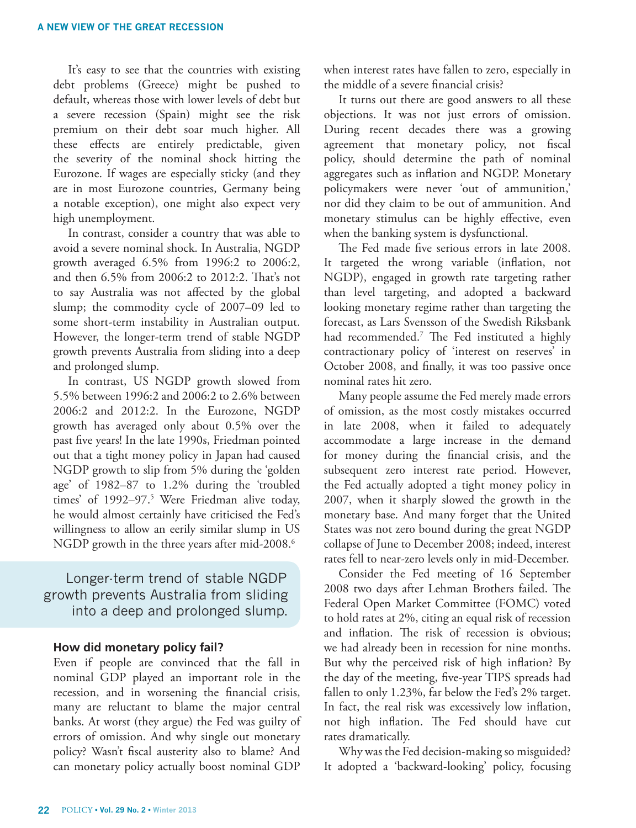It's easy to see that the countries with existing debt problems (Greece) might be pushed to default, whereas those with lower levels of debt but a severe recession (Spain) might see the risk premium on their debt soar much higher. All these effects are entirely predictable, given the severity of the nominal shock hitting the Eurozone. If wages are especially sticky (and they are in most Eurozone countries, Germany being a notable exception), one might also expect very high unemployment.

In contrast, consider a country that was able to avoid a severe nominal shock. In Australia, NGDP growth averaged 6.5% from 1996:2 to 2006:2, and then 6.5% from 2006:2 to 2012:2. That's not to say Australia was not affected by the global slump; the commodity cycle of 2007–09 led to some short-term instability in Australian output. However, the longer-term trend of stable NGDP growth prevents Australia from sliding into a deep and prolonged slump.

In contrast, US NGDP growth slowed from 5.5% between 1996:2 and 2006:2 to 2.6% between 2006:2 and 2012:2. In the Eurozone, NGDP growth has averaged only about 0.5% over the past five years! In the late 1990s, [Friedman](http://www.hoover.org/publications/hoover-digest/article/6549) pointed out that a tight money policy in Japan had caused NGDP growth to slip from 5% during the 'golden age' of 1982–87 to 1.2% during the 'troubled times' of 1992–97.5 Were Friedman alive today, he would almost certainly have criticised the Fed's willingness to allow an eerily similar slump in US NGDP growth in the three years after mid-2008.<sup>6</sup>

# Longer-term trend of stable NGDP growth prevents Australia from sliding into a deep and prolonged slump.

#### **How did monetary policy fail?**

Even if people are convinced that the fall in nominal GDP played an important role in the recession, and in worsening the financial crisis, many are reluctant to blame the major central banks. At worst (they argue) the Fed was guilty of errors of omission. And why single out monetary policy? Wasn't fiscal austerity also to blame? And can monetary policy actually boost nominal GDP when interest rates have fallen to zero, especially in the middle of a severe financial crisis?

It turns out there are good answers to all these objections. It was not just errors of omission. During recent decades there was a growing agreement that monetary policy, not fiscal policy, should determine the path of nominal aggregates such as inflation and NGDP. Monetary policymakers were never 'out of ammunition,' nor did they claim to be out of ammunition. And monetary stimulus can be highly effective, even when the banking system is dysfunctional.

The Fed made five serious errors in late 2008. It targeted the wrong variable (inflation, not NGDP), engaged in growth rate targeting rather than level targeting, and adopted a backward looking monetary regime rather than targeting the forecast, as Lars Svensson of the Swedish Riksbank had recommended.7 The Fed instituted a highly contractionary policy of 'interest on reserves' in October 2008, and finally, it was too passive once nominal rates hit zero.

Many people assume the Fed merely made errors of omission, as the most costly mistakes occurred in late 2008, when it failed to adequately accommodate a large increase in the demand for money during the financial crisis, and the subsequent zero interest rate period. However, the Fed actually adopted a tight money policy in 2007, when it sharply slowed the growth in the monetary base. And many forget that the United States was not zero bound during the great NGDP collapse of June to December 2008; indeed, interest rates fell to near-zero levels only in mid-December.

Consider the Fed meeting of 16 September 2008 two days after Lehman Brothers failed. The Federal Open Market Committee (FOMC) voted to hold rates at 2%, citing an equal risk of recession and inflation. The risk of recession is obvious; we had already been in recession for nine months. But why the perceived risk of high inflation? By the day of the meeting, five-year TIPS spreads had fallen to only 1.23%, far below the Fed's 2% target. In fact, the real risk was excessively low inflation, not high inflation. The Fed should have cut rates dramatically.

Why was the Fed decision-making so misguided? It adopted a 'backward-looking' policy, focusing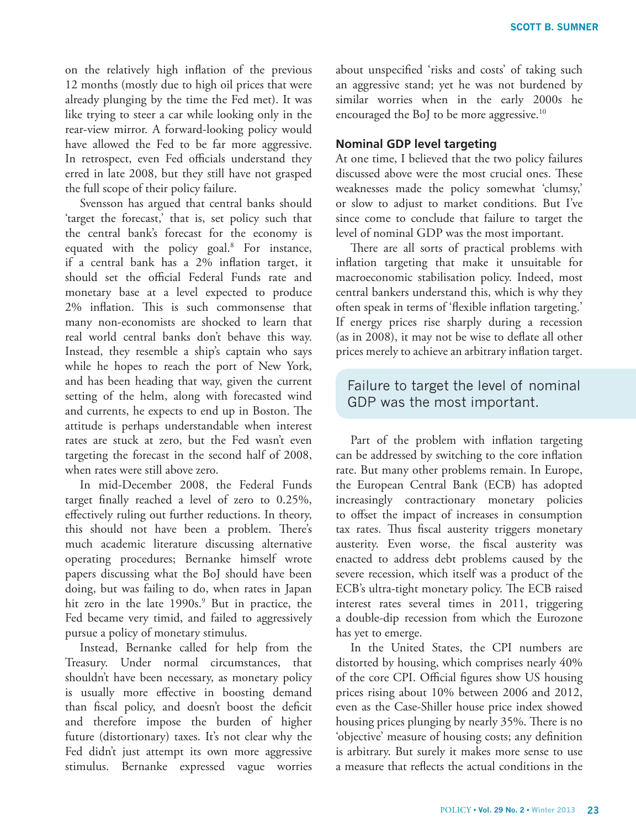on the relatively high inflation of the previous 12 months (mostly due to high oil prices that were already plunging by the time the Fed met). It was like trying to steer a car while looking only in the rear-view mirror. A forward-looking policy would have allowed the Fed to be far more aggressive. In retrospect, even Fed officials understand they erred in late 2008, but they still have not grasped the full scope of their policy failure.

Svensson has argued that central banks should 'target the forecast,' that is, set policy such that the central bank's forecast for the economy is equated with the policy goal.<sup>8</sup> For instance, if a central bank has a 2% inflation target, it should set the official Federal Funds rate and monetary base at a level expected to produce 2% inflation. This is such commonsense that many non-economists are shocked to learn that real world central banks don't behave this way. Instead, they resemble a ship's captain who says while he hopes to reach the port of New York, and has been heading that way, given the current setting of the helm, along with forecasted wind and currents, he expects to end up in Boston. The attitude is perhaps understandable when interest rates are stuck at zero, but the Fed wasn't even targeting the forecast in the second half of 2008, when rates were still above zero.

In mid-December 2008, the Federal Funds target finally reached a level of zero to 0.25%, effectively ruling out further reductions. In theory, this should not have been a problem. There's much academic literature discussing alternative operating procedures; Bernanke himself wrote papers discussing what the BoJ should have been doing, but was failing to do, when rates in Japan hit zero in the late 1990s.<sup>9</sup> But in practice, the Fed became very timid, and failed to aggressively pursue a policy of monetary stimulus.

Instead, Bernanke called for help from the Treasury. Under normal circumstances, that shouldn't have been necessary, as monetary policy is usually more effective in boosting demand than fiscal policy, and doesn't boost the deficit and therefore impose the burden of higher future (distortionary) taxes. It's not clear why the Fed didn't just attempt its own more aggressive stimulus. Bernanke expressed vague worries about unspecified 'risks and costs' of taking such an aggressive stand; yet he was not burdened by similar worries when in the early 2000s he encouraged the BoJ to be more aggressive.<sup>10</sup>

## **Nominal GDP level targeting**

At one time, I believed that the two policy failures discussed above were the most crucial ones. These weaknesses made the policy somewhat 'clumsy,' or slow to adjust to market conditions. But I've since come to conclude that failure to target the level of nominal GDP was the most important.

There are all sorts of practical problems with inflation targeting that make it unsuitable for macroeconomic stabilisation policy. Indeed, most central bankers understand this, which is why they often speak in terms of 'flexible inflation targeting.' If energy prices rise sharply during a recession (as in 2008), it may not be wise to deflate all other prices merely to achieve an arbitrary inflation target.

## Failure to target the level of nominal GDP was the most important.

Part of the problem with inflation targeting can be addressed by switching to the core inflation rate. But many other problems remain. In Europe, the European Central Bank (ECB) has adopted increasingly contractionary monetary policies to offset the impact of increases in consumption tax rates. Thus fiscal austerity triggers monetary austerity. Even worse, the fiscal austerity was enacted to address debt problems caused by the severe recession, which itself was a product of the ECB's ultra-tight monetary policy. The ECB raised interest rates several times in 2011, triggering a double-dip recession from which the Eurozone has yet to emerge.

In the United States, the CPI numbers are distorted by housing, which comprises nearly 40% of the core CPI. Official figures show US housing prices rising about 10% between 2006 and 2012, even as the Case-Shiller house price index showed housing prices plunging by nearly 35%. There is no 'objective' measure of housing costs; any definition is arbitrary. But surely it makes more sense to use a measure that reflects the actual conditions in the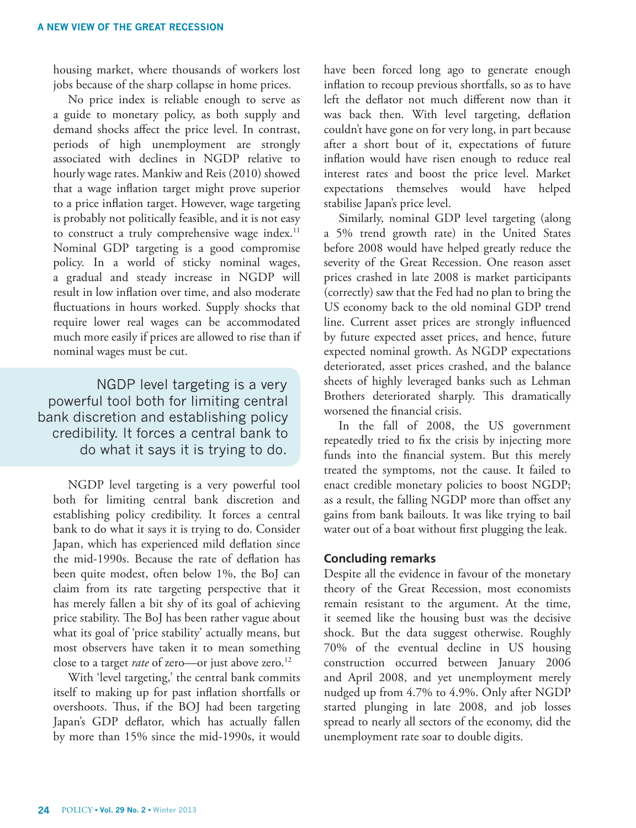housing market, where thousands of workers lost jobs because of the sharp collapse in home prices.

No price index is reliable enough to serve as a guide to monetary policy, as both supply and demand shocks affect the price level. In contrast, periods of high unemployment are strongly associated with declines in NGDP relative to hourly wage rates. Mankiw and Reis (2010) showed that a wage inflation target might prove superior to a price inflation target. However, wage targeting is probably not politically feasible, and it is not easy to construct a truly comprehensive wage index.<sup>11</sup> Nominal GDP targeting is a good compromise policy. In a world of sticky nominal wages, a gradual and steady increase in NGDP will result in low inflation over time, and also moderate fluctuations in hours worked. Supply shocks that require lower real wages can be accommodated much more easily if prices are allowed to rise than if nominal wages must be cut.

NGDP level targeting is a very powerful tool both for limiting central bank discretion and establishing policy credibility. It forces a central bank to do what it says it is trying to do.

NGDP level targeting is a very powerful tool both for limiting central bank discretion and establishing policy credibility. It forces a central bank to do what it says it is trying to do. Consider Japan, which has experienced mild deflation since the mid-1990s. Because the rate of deflation has been quite modest, often below 1%, the BoJ can claim from its rate targeting perspective that it has merely fallen a bit shy of its goal of achieving price stability. The BoJ has been rather vague about what its goal of 'price stability' actually means, but most observers have taken it to mean something close to a target *rate* of zero—or just above zero.<sup>12</sup>

With 'level targeting,' the central bank commits itself to making up for past inflation shortfalls or overshoots. Thus, if the BOJ had been targeting Japan's GDP deflator, which has actually fallen by more than 15% since the mid-1990s, it would have been forced long ago to generate enough inflation to recoup previous shortfalls, so as to have left the deflator not much different now than it was back then. With level targeting, deflation couldn't have gone on for very long, in part because after a short bout of it, expectations of future inflation would have risen enough to reduce real interest rates and boost the price level. Market expectations themselves would have helped stabilise Japan's price level.

Similarly, nominal GDP level targeting (along a 5% trend growth rate) in the United States before 2008 would have helped greatly reduce the severity of the Great Recession. One reason asset prices crashed in late 2008 is market participants (correctly) saw that the Fed had no plan to bring the US economy back to the old nominal GDP trend line. Current asset prices are strongly influenced by future expected asset prices, and hence, future expected nominal growth. As NGDP expectations deteriorated, asset prices crashed, and the balance sheets of highly leveraged banks such as Lehman Brothers deteriorated sharply. This dramatically worsened the financial crisis.

In the fall of 2008, the US government repeatedly tried to fix the crisis by injecting more funds into the financial system. But this merely treated the symptoms, not the cause. It failed to enact credible monetary policies to boost NGDP; as a result, the falling NGDP more than offset any gains from bank bailouts. It was like trying to bail water out of a boat without first plugging the leak.

#### **Concluding remarks**

Despite all the evidence in favour of the monetary theory of the Great Recession, most economists remain resistant to the argument. At the time, it seemed like the housing bust was the decisive shock. But the data suggest otherwise. Roughly 70% of the eventual decline in US housing construction occurred between January 2006 and April 2008, and yet unemployment merely nudged up from 4.7% to 4.9%. Only after NGDP started plunging in late 2008, and job losses spread to nearly all sectors of the economy, did the unemployment rate soar to double digits.